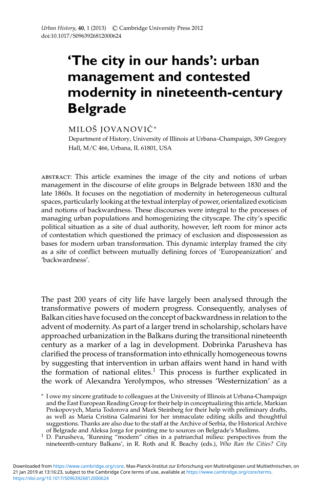## **'The city in our hands': urban management and contested modernity in nineteenth-century Belgrade**

## MILOŠ JOVANOVIĆ\*

Department of History, University of Illinois at Urbana–Champaign, 309 Gregory Hall, M/C 466, Urbana, IL 61801, USA

abstract: This article examines the image of the city and notions of urban management in the discourse of elite groups in Belgrade between 1830 and the late 1860s. It focuses on the negotiation of modernity in heterogeneous cultural spaces, particularly looking at the textual interplay of power, orientalized exoticism and notions of backwardness. These discourses were integral to the processes of managing urban populations and homogenizing the cityscape. The city's specific political situation as a site of dual authority, however, left room for minor acts of contestation which questioned the primacy of exclusion and dispossession as bases for modern urban transformation. This dynamic interplay framed the city as a site of conflict between mutually defining forces of 'Europeanization' and 'backwardness'.

The past 200 years of city life have largely been analysed through the transformative powers of modern progress. Consequently, analyses of Balkan cities have focused on the concept of backwardness in relation to the advent of modernity. As part of a larger trend in scholarship, scholars have approached urbanization in the Balkans during the transitional nineteenth century as a marker of a lag in development. Dobrinka Parusheva has clarified the process of transformation into ethnically homogeneous towns by suggesting that intervention in urban affairs went hand in hand with the formation of national elites.<sup>1</sup> This process is further explicated in the work of Alexandra Yerolympos, who stresses 'Westernization' as a

<sup>∗</sup> I owe my sincere gratitude to colleagues at the University of Illinois at Urbana-Champaign and the East European Reading Group for their help in conceptualizing this article, Markian Prokopovych, Maria Todorova and Mark Steinberg for their help with preliminary drafts, as well as Maria Cristina Galmarini for her immaculate editing skills and thoughtful suggestions. Thanks are also due to the staff at the Archive of Serbia, the Historical Archive of Belgrade and Aleksa Jorga for pointing me to sources on Belgrade's Muslims.

 $1$  D. Parusheva, 'Running "modern" cities in a patriarchal milieu: perspectives from the nineteenth-century Balkans', in R. Roth and R. Beachy (eds.), *Who Ran the Cities? City*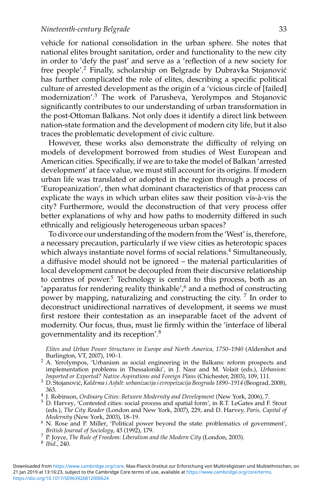vehicle for national consolidation in the urban sphere. She notes that national elites brought sanitation, order and functionality to the new city in order to 'defy the past' and serve as a 'reflection of a new society for free people'.<sup>2</sup> Finally, scholarship on Belgrade by Dubravka Stojanović has further complicated the role of elites, describing a specific political culture of arrested development as the origin of a 'vicious circle of [failed] modernization'.<sup>3</sup> The work of Parusheva, Yerolympos and Stojanović significantly contributes to our understanding of urban transformation in the post-Ottoman Balkans. Not only does it identify a direct link between nation-state formation and the development of modern city life, but it also traces the problematic development of civic culture.

However, these works also demonstrate the difficulty of relying on models of development borrowed from studies of West European and American cities. Specifically, if we are to take the model of Balkan 'arrested development' at face value, we must still account for its origins. If modern urban life was translated or adopted in the region through a process of 'Europeanization', then what dominant characteristics of that process can explicate the ways in which urban elites saw their position vis-à-vis the city? Furthermore, would the deconstruction of that very process offer better explanations of why and how paths to modernity differed in such ethnically and religiously heterogeneous urban spaces?

To divorce our understanding of the modern from the 'West' is, therefore, a necessary precaution, particularly if we view cities as heterotopic spaces which always instantiate novel forms of social relations.<sup>4</sup> Simultaneously, a diffusive model should not be ignored – the material particularities of local development cannot be decoupled from their discursive relationship to centres of power.<sup>5</sup> Technology is central to this process, both as an 'apparatus for rendering reality thinkable',<sup>6</sup> and a method of constructing power by mapping, naturalizing and constructing the city. <sup>7</sup> In order to deconstruct unidirectional narratives of development, it seems we must first restore their contestation as an inseparable facet of the advent of modernity. Our focus, thus, must lie firmly within the 'interface of liberal governmentality and its reception'.<sup>8</sup>

*Elites and Urban Power Structures in Europe and North America, 1750–1940* (Aldershot and

<sup>&</sup>lt;sup>2</sup> A. Yerolympos, 'Urbanism as social engineering in the Balkans: reform prospects and implementation problems in Thessaloniki', in  $\bar{J}$ . Nasr and M. Volait (eds.), *Urbanism:*<br>Imported or Exported? Native Aspirations and Foreign Plans (Chichester, 2003), 109, 111.

*Imported or Exported? Native Aspirations and Foreign Plans* (Chichester, 2003), 109, 111. <sup>3</sup> D. Stojanovic,´ *Kaldrma i Asfalt: urbanizacija i evropeizacija Beograda 1890–1914* (Beograd, 2008),

<sup>&</sup>lt;sup>4</sup> J. Robinson, *Ordinary Cities: Between Modernity and Development* (New York, 2006), 7. <sup>5</sup> D. Harvey, 'Contested cities: social process and spatial form', in R.T. LeGates and F. Stout (eds.), *The City Reader* (London and New York, 2007), 229, and D. Harvey, *Paris, Capital of*

<sup>&</sup>lt;sup>6</sup> N. Rose and P. Miller, 'Political power beyond the state: problematics of government', *British Journal of Sociology*, 43 (1992), 179.

*British Journal of Sociology*, 43 (1992), 179. <sup>7</sup> P. Joyce, *The Rule of Freedom: Liberalism and the Modern City* (London, 2003). <sup>8</sup> *Ibid.*, 240.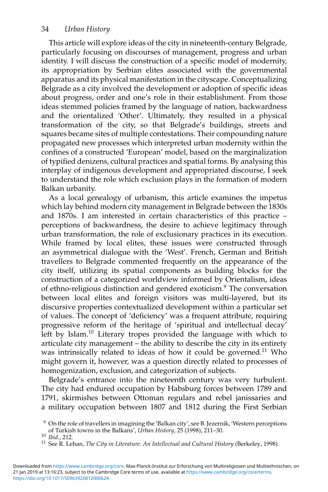This article will explore ideas of the city in nineteenth-century Belgrade, particularly focusing on discourses of management, progress and urban identity. I will discuss the construction of a specific model of modernity, its appropriation by Serbian elites associated with the governmental apparatus and its physical manifestation in the cityscape. Conceptualizing Belgrade as a city involved the development or adoption of specific ideas about progress, order and one's role in their establishment. From those ideas stemmed policies framed by the language of nation, backwardness and the orientalized 'Other'. Ultimately, they resulted in a physical transformation of the city, so that Belgrade's buildings, streets and squares became sites of multiple contestations. Their compounding nature propagated new processes which interpreted urban modernity within the confines of a constructed 'European' model, based on the marginalization of typified denizens, cultural practices and spatial forms. By analysing this interplay of indigenous development and appropriated discourse, I seek to understand the role which exclusion plays in the formation of modern Balkan urbanity.

As a local genealogy of urbanism, this article examines the impetus which lay behind modern city management in Belgrade between the 1830s and 1870s. I am interested in certain characteristics of this practice – perceptions of backwardness, the desire to achieve legitimacy through urban transformation, the role of exclusionary practices in its execution. While framed by local elites, these issues were constructed through an asymmetrical dialogue with the 'West'. French, German and British travellers to Belgrade commented frequently on the appearance of the city itself, utilizing its spatial components as building blocks for the construction of a categorized worldview informed by Orientalism, ideas of ethno-religious distinction and gendered exoticism.9 The conversation between local elites and foreign visitors was multi-layered, but its discursive properties contextualized development within a particular set of values. The concept of 'deficiency' was a frequent attribute, requiring progressive reform of the heritage of 'spiritual and intellectual decay' left by Islam.<sup>10</sup> Literary tropes provided the language with which to articulate city management – the ability to describe the city in its entirety was intrinsically related to ideas of how it could be governed.<sup>11</sup> Who might govern it, however, was a question directly related to processes of homogenization, exclusion, and categorization of subjects.

Belgrade's entrance into the nineteenth century was very turbulent. The city had endured occupation by Habsburg forces between 1789 and 1791, skirmishes between Ottoman regulars and rebel janissaries and a military occupation between 1807 and 1812 during the First Serbian

<sup>&</sup>lt;sup>9</sup> On the role of travellers in imagining the 'Balkan city', see B. Jezernik, 'Western perceptions of Turkish towns in the Balkans', *Urban History*, 25 (1998), 211–30.

of Turkish towns in the Balkans', *Urban History*, 25 (1998), 211–30. <sup>10</sup> *Ibid.*, 212. <sup>11</sup> See R. Lehan, *The City in Literature: An Intellectual and Cultural History* (Berkeley, 1998).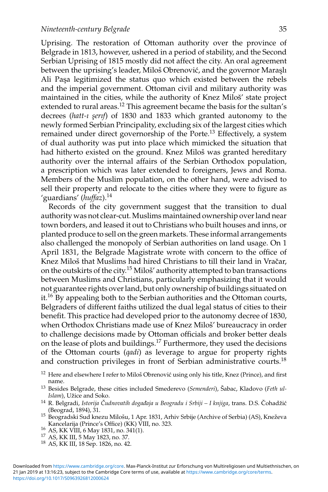Uprising. The restoration of Ottoman authority over the province of Belgrade in 1813, however, ushered in a period of stability, and the Second Serbian Uprising of 1815 mostly did not affect the city. An oral agreement between the uprising's leader, Miloš Obrenović, and the governor Maraslı Ali Paşa legitimized the status quo which existed between the rebels and the imperial government. Ottoman civil and military authority was maintained in the cities, while the authority of Knez Miloš' state project extended to rural areas.<sup>12</sup> This agreement became the basis for the sultan's decrees (hatt-1 serif) of 1830 and 1833 which granted autonomy to the newly formed Serbian Principality, excluding six of the largest cities which remained under direct governorship of the Porte.<sup>13</sup> Effectively, a system of dual authority was put into place which mimicked the situation that had hitherto existed on the ground. Knez Miloš was granted hereditary authority over the internal affairs of the Serbian Orthodox population, a prescription which was later extended to foreigners, Jews and Roma. Members of the Muslim population, on the other hand, were advised to sell their property and relocate to the cities where they were to figure as 'guardians' (*huffaz*).<sup>14</sup>

Records of the city government suggest that the transition to dual authority was not clear-cut. Muslims maintained ownership over land near town borders, and leased it out to Christians who built houses and inns, or planted produce to sell on the green markets. These informal arrangements also challenged the monopoly of Serbian authorities on land usage. On 1 April 1831, the Belgrade Magistrate wrote with concern to the office of Knez Miloš that Muslims had hired Christians to till their land in Vračar, on the outskirts of the city.<sup>15</sup> Miloš' authority attempted to ban transactions between Muslims and Christians, particularly emphasizing that it would not guarantee rights over land, but only ownership of buildings situated on it.<sup>16</sup> By appealing both to the Serbian authorities and the Ottoman courts, Belgraders of different faiths utilized the dual legal status of cities to their benefit. This practice had developed prior to the autonomy decree of 1830, when Orthodox Christians made use of Knez Miloš' bureaucracy in order to challenge decisions made by Ottoman officials and broker better deals on the lease of plots and buildings.17 Furthermore, they used the decisions of the Ottoman courts (*qadi*) as leverage to argue for property rights and construction privileges in front of Serbian administrative courts.18

- <sup>12</sup> Here and elsewhere I refer to Miloš Obrenović using only his title, Knez (Prince), and first name.
- <sup>13</sup> Besides Belgrade, these cities included Smederevo (Semenderi), Šabac, Kladovo (Feth ul-*Islam*), Užice and Soko.
- <sup>14</sup> R. Belgradi, *Istorija Čudnovatih događaja u Beogradu i Srbiji I knjiga*, trans. D.S. Čohadžić (Beograd, 1894), 31.
- 15 Beogradski Sud knezu Milošu, 1 Apr. 1831, Arhiv Srbije (Archive of Serbia) (AS), Kneževa<br>Kancelarija (Prince's Office) (KK) VIII, no. 323.
- 16 AS, KK VIII, 6 May 1831, no. 341(1).<br>
<sup>17</sup> AS, KK III, 5 May 1823, no. 37.<br>
<sup>18</sup> AS, KK III, 18 Sep. 1826, no. 42.
- 
-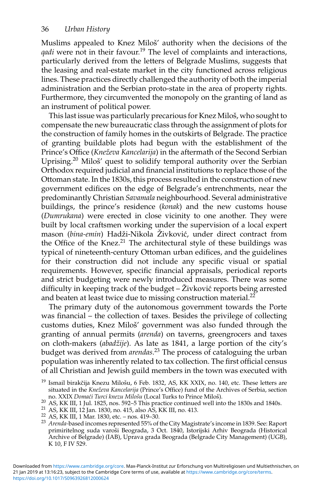Muslims appealed to Knez Miloš' authority when the decisions of the *qadi* were not in their favour.<sup>19</sup> The level of complaints and interactions, particularly derived from the letters of Belgrade Muslims, suggests that the leasing and real-estate market in the city functioned across religious lines. These practices directly challenged the authority of both the imperial administration and the Serbian proto-state in the area of property rights. Furthermore, they circumvented the monopoly on the granting of land as an instrument of political power.

This last issue was particularly precarious for Knez Miloš, who sought to compensate the new bureaucratic class through the assignment of plots for the construction of family homes in the outskirts of Belgrade. The practice of granting buildable plots had begun with the establishment of the Prince's Office (*Kneževa Kancelarija*) in the aftermath of the Second Serbian Uprising.<sup>20</sup> Miloš' quest to solidify temporal authority over the Serbian Orthodox required judicial and financial institutions to replace those of the Ottoman state. In the 1830s, this process resulted in the construction of new government edifices on the edge of Belgrade's entrenchments, near the predominantly Christian *Savamala* neighbourhood. Several administrative buildings, the prince's residence (*konak*) and the new customs house (*Dumrukana*) were erected in close vicinity to one another. They were built by local craftsmen working under the supervision of a local expert mason (*bina-emin*) Hadži-Nikola Živković, under direct contract from the Office of the Knez. $21$  The architectural style of these buildings was typical of nineteenth-century Ottoman urban edifices, and the guidelines for their construction did not include any specific visual or spatial requirements. However, specific financial appraisals, periodical reports and strict budgeting were newly introduced measures. There was some difficulty in keeping track of the budget – Živković reports being arrested and beaten at least twice due to missing construction material.<sup>22</sup>

The primary duty of the autonomous government towards the Porte was financial – the collection of taxes. Besides the privilege of collecting customs duties, Knez Miloš' government was also funded through the granting of annual permits (*arenda*) on taverns, greengrocers and taxes on cloth-makers (*abadžije*). As late as 1841, a large portion of the city's budget was derived from *arendas*. <sup>23</sup> The process of cataloguing the urban population was inherently related to tax collection. The first official census of all Christian and Jewish guild members in the town was executed with

Ismail birakčija Knezu Milošu, 6 Feb. 1832, AS, KK XXIX, no. 140, etc. These letters are situated in the *Kneževa Kancelarija* (Prince's Office) fund of the Archives of Serbia, section no. XXIX *Domaći Turci knezu Milošu* (Local Turks to Prince Miloš).

<sup>20</sup> AS, KK III, 1 Jul. 1825, nos. 592–5 This practice continued well into the 1830s and 1840s.<br>
21 AS, KK III, 12 Jan. 1830, no. 415, also AS, KK III, no. 413.<br>
<sup>22</sup> AS, KK III, 1 Mar. 1830, etc. – nos. 419–30.<br>
<sup>23</sup> *Arend* primiritelnog suda varoši Beograda, 3 Oct. 1840, Istorijski Arhiv Beograda (Historical Archive of Belgrade) (IAB), Uprava grada Beograda (Belgrade City Management) (UGB), K 10, F IV 529.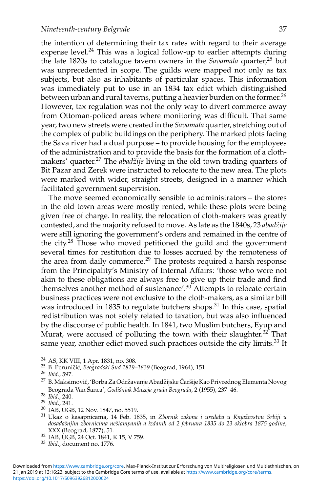the intention of determining their tax rates with regard to their average expense level.<sup>24</sup> This was a logical follow-up to earlier attempts during the late 1820s to catalogue tavern owners in the *Savamala* quarter,<sup>25</sup> but was unprecedented in scope. The guilds were mapped not only as tax subjects, but also as inhabitants of particular spaces. This information was immediately put to use in an 1834 tax edict which distinguished between urban and rural taverns, putting a heavier burden on the former.<sup>26</sup> However, tax regulation was not the only way to divert commerce away from Ottoman-policed areas where monitoring was difficult. That same year, two new streets were created in the *Savamala* quarter, stretching out of the complex of public buildings on the periphery. The marked plots facing the Sava river had a dual purpose – to provide housing for the employees of the administration and to provide the basis for the formation of a clothmakers' quarter.<sup>27</sup> The *abadzije* living in the old town trading quarters of Bit Pazar and Zerek were instructed to relocate to the new area. The plots were marked with wider, straight streets, designed in a manner which facilitated government supervision.

The move seemed economically sensible to administrators – the stores in the old town areas were mostly rented, while these plots were being given free of charge. In reality, the relocation of cloth-makers was greatly contested, and the majority refused to move. As late as the 1840s, 23 *abadžije* were still ignoring the government's orders and remained in the centre of the city.<sup>28</sup> Those who moved petitioned the guild and the government several times for restitution due to losses accrued by the remoteness of the area from daily commerce.<sup>29</sup> The protests required a harsh response from the Principality's Ministry of Internal Affairs: 'those who were not akin to these obligations are always free to give up their trade and find themselves another method of sustenance'.30 Attempts to relocate certain business practices were not exclusive to the cloth-makers, as a similar bill was introduced in 1835 to regulate butchers shops.<sup>31</sup> In this case, spatial redistribution was not solely related to taxation, but was also influenced by the discourse of public health. In 1841, two Muslim butchers, Eyup and Murat, were accused of polluting the town with their slaughter.<sup>32</sup> That same year, another edict moved such practices outside the city limits.<sup>33</sup> It

<sup>24</sup> AS, KK VIII, 1 Apr. 1831, no. 308.<br><sup>25</sup> B. Peruničić, *Beogradski Sud 1819–1839* (Beograd, 1964), 151.<br><sup>26</sup> *Ibid.*, 597.

- <sup>27</sup> B. Maksimović, 'Borba Za Održavanje Abadžijske Čaršije Kao Privrednog Elementa Novog Beograda Van Šanca', Godišnjak Muzeja grada Beograda, 2 (1955), 237–46.<br><sup>28</sup> Ibid., 240.<br><sup>29</sup> Ibid., 241.<br><sup>30</sup> IAB, UGB, 12 Nov. 1847, no. 5519.<br><sup>31</sup> Ukaz o kasapnicama, 14 Feb. 1835, in *Zbornik zakona i uredaba u Knjažev*
- 
- 
- 
- *dosadašnjim zbornicima neštampanih a izdanih od 2 februara 1835 do 23 oktobra 1875 godine,*<br>XXX (Beograd, 1877), 51.
- <sup>32</sup> IAB, UGB, 24 Oct. 1841, K 15, V 759.<br><sup>33</sup> *Ibid.*, document no. 1776.
-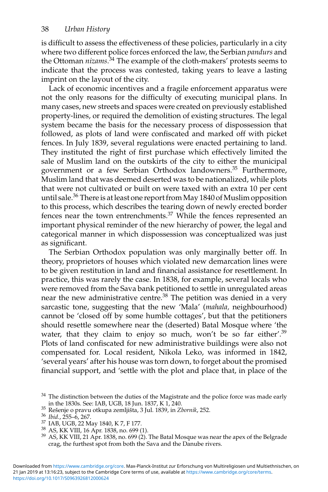is difficult to assess the effectiveness of these policies, particularly in a city where two different police forces enforced the law, the Serbian *pandurs* and the Ottoman *nizams*. <sup>34</sup> The example of the cloth-makers' protests seems to indicate that the process was contested, taking years to leave a lasting imprint on the layout of the city.

Lack of economic incentives and a fragile enforcement apparatus were not the only reasons for the difficulty of executing municipal plans. In many cases, new streets and spaces were created on previously established property-lines, or required the demolition of existing structures. The legal system became the basis for the necessary process of dispossession that followed, as plots of land were confiscated and marked off with picket fences. In July 1839, several regulations were enacted pertaining to land. They instituted the right of first purchase which effectively limited the sale of Muslim land on the outskirts of the city to either the municipal government or a few Serbian Orthodox landowners.<sup>35</sup> Furthermore, Muslim land that was deemed deserted was to be nationalized, while plots that were not cultivated or built on were taxed with an extra 10 per cent until sale.<sup>36</sup> There is at least one report from May 1840 of Muslim opposition to this process, which describes the tearing down of newly erected border fences near the town entrenchments.<sup>37</sup> While the fences represented an important physical reminder of the new hierarchy of power, the legal and categorical manner in which dispossession was conceptualized was just as significant.

The Serbian Orthodox population was only marginally better off. In theory, proprietors of houses which violated new demarcation lines were to be given restitution in land and financial assistance for resettlement. In practice, this was rarely the case. In 1838, for example, several locals who were removed from the Sava bank petitioned to settle in unregulated areas near the new administrative centre.38 The petition was denied in a very sarcastic tone, suggesting that the new 'Mala' (*mahala,* neighbourhood) cannot be 'closed off by some humble cottages', but that the petitioners should resettle somewhere near the (deserted) Batal Mosque where 'the water, that they claim to enjoy so much, won't be so far either'.<sup>39</sup> Plots of land confiscated for new administrative buildings were also not compensated for. Local resident, Nikola Leko, was informed in 1842, 'several years' after his house was torn down, to forget about the promised financial support, and 'settle with the plot and place that, in place of the

- 
- 

<sup>&</sup>lt;sup>34</sup> The distinction between the duties of the Magistrate and the police force was made early in the 1830s. See: IAB, UGB, 18 Jun. 1837, K 1, 240.

<sup>&</sup>lt;sup>35</sup> Resenje o pravu otkupa zemljišta, 3 Jul. 1839, in *Zbornik*, 252.<br><sup>36</sup> Ibid., 255–6, 267.<br><sup>37</sup> IAB, UGB, 22 May 1840, K 7, F 177.<br><sup>38</sup> AS, KK VIII, 16 Apr. 1838, no. 699 (1).<br><sup>39</sup> AS, KK VIII, 21 Apr. 1838, no. 699 ( crag, the furthest spot from both the Sava and the Danube rivers.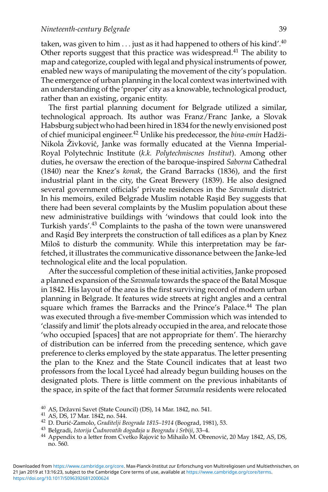taken, was given to him  $\dots$  just as it had happened to others of his kind'.<sup>40</sup> Other reports suggest that this practice was widespread.<sup>41</sup> The ability to map and categorize, coupled with legal and physical instruments of power, enabled new ways of manipulating the movement of the city's population. The emergence of urban planning in the local context was intertwined with an understanding of the 'proper' city as a knowable, technological product, rather than an existing, organic entity.

The first partial planning document for Belgrade utilized a similar, technological approach. Its author was Franz/Franc Janke, a Slovak Habsburg subject who had been hired in 1834 for the newly envisioned post of chief municipal engineer.<sup>42</sup> Unlike his predecessor, the *bina-emin* Hadži-Nikola Živković, Janke was formally educated at the Vienna Imperial-Royal Polytechnic Institute (*k.k. Polytechniscnes Institut*). Among other duties, he oversaw the erection of the baroque-inspired *Saborna* Cathedral (1840) near the Knez's *konak*, the Grand Barracks (1836), and the first industrial plant in the city, the Great Brewery (1839). He also designed several government officials' private residences in the *Savamala* district. In his memoirs, exiled Belgrade Muslim notable Rasid Bey suggests that there had been several complaints by the Muslim population about these new administrative buildings with 'windows that could look into the Turkish yards'.<sup>43</sup> Complaints to the pasha of the town were unanswered and Rasid Bey interprets the construction of tall edifices as a plan by Knez Miloš to disturb the community. While this interpretation may be farfetched, it illustrates the communicative dissonance between the Janke-led technological elite and the local population.

After the successful completion of these initial activities, Janke proposed a planned expansion of the *Savamala* towards the space of the Batal Mosque in 1842. His layout of the area is the first surviving record of modern urban planning in Belgrade. It features wide streets at right angles and a central square which frames the Barracks and the Prince's Palace.<sup>44</sup> The plan was executed through a five-member Commission which was intended to 'classify and limit' the plots already occupied in the area, and relocate those 'who occupied [spaces] that are not appropriate for them'. The hierarchy of distribution can be inferred from the preceding sentence, which gave preference to clerks employed by the state apparatus. The letter presenting the plan to the Knez and the State Council indicates that at least two professors from the local Lyceé had already begun building houses on the designated plots. There is little comment on the previous inhabitants of the space, in spite of the fact that former *Savamala* residents were relocated

<sup>40</sup> AS, Drzavni Savet (State Council) (DS), 14 Mar. 1842, no. 541. <sup>ˇ</sup> <sup>41</sup> AS, DS, 17 Mar. 1842, no. 544. <sup>42</sup> D. <sup>−</sup>Duric-Zamolo, ´ *Graditelji Beograda 1815–1914* (Beograd, 1981), 53.

<sup>&</sup>lt;sup>43</sup> Belgradi, *Istorija Čudnovatih događaja u Beogradu i Srbiji*, 33–4.<br><sup>44</sup> Appendix to a letter from Cvetko Rajović to Mihailo M. Obrenović, 20 May 1842, AS, DS, no. 560.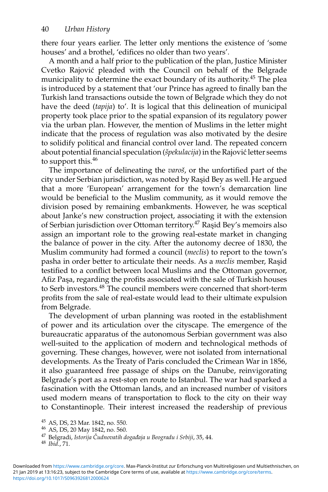there four years earlier. The letter only mentions the existence of 'some houses' and a brothel, 'edifices no older than two years'.

A month and a half prior to the publication of the plan, Justice Minister Cvetko Rajovic pleaded with the Council on behalf of the Belgrade ´ municipality to determine the exact boundary of its authority.45 The plea is introduced by a statement that 'our Prince has agreed to finally ban the Turkish land transactions outside the town of Belgrade which they do not have the deed (*tapija*) to'. It is logical that this delineation of municipal property took place prior to the spatial expansion of its regulatory power via the urban plan. However, the mention of Muslims in the letter might indicate that the process of regulation was also motivated by the desire to solidify political and financial control over land. The repeated concern about potential financial speculation (*špekulacija*) in the Rajović letter seems to support this.<sup>46</sup>

The importance of delineating the *varoš*, or the unfortified part of the city under Serbian jurisdiction, was noted by Rasid Bey as well. He argued that a more 'European' arrangement for the town's demarcation line would be beneficial to the Muslim community, as it would remove the division posed by remaining embankments. However, he was sceptical about Janke's new construction project, associating it with the extension of Serbian jurisdiction over Ottoman territory.<sup>47</sup> Rasid Bey's memoirs also assign an important role to the growing real-estate market in changing the balance of power in the city. After the autonomy decree of 1830, the Muslim community had formed a council (*meclis*) to report to the town's pasha in order better to articulate their needs. As a *meclis* member, Rasid testified to a conflict between local Muslims and the Ottoman governor, Afiz Paşa, regarding the profits associated with the sale of Turkish houses to Serb investors.<sup>48</sup> The council members were concerned that short-term profits from the sale of real-estate would lead to their ultimate expulsion from Belgrade.

The development of urban planning was rooted in the establishment of power and its articulation over the cityscape. The emergence of the bureaucratic apparatus of the autonomous Serbian government was also well-suited to the application of modern and technological methods of governing. These changes, however, were not isolated from international developments. As the Treaty of Paris concluded the Crimean War in 1856, it also guaranteed free passage of ships on the Danube, reinvigorating Belgrade's port as a rest-stop en route to Istanbul. The war had sparked a fascination with the Ottoman lands, and an increased number of visitors used modern means of transportation to flock to the city on their way to Constantinople. Their interest increased the readership of previous

<sup>45</sup> AS, DS, 23 Mar. 1842, no. 550. <sup>46</sup> AS, DS, 20 May 1842, no. 560.

<sup>&</sup>lt;sup>47</sup> Belgradi, *Istorija Čudnovatih događaja u Beogradu i Srbiji*, 35, 44.<br><sup>48</sup> *Ibid.*, 71.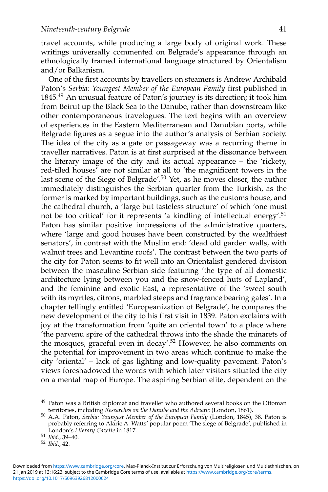travel accounts, while producing a large body of original work. These writings universally commented on Belgrade's appearance through an ethnologically framed international language structured by Orientalism and/or Balkanism.

One of the first accounts by travellers on steamers is Andrew Archibald Paton's *Serbia: Youngest Member of the European Family* first published in 1845.<sup>49</sup> An unusual feature of Paton's journey is its direction; it took him from Beirut up the Black Sea to the Danube, rather than downstream like other contemporaneous travelogues. The text begins with an overview of experiences in the Eastern Mediterranean and Danubian ports, while Belgrade figures as a segue into the author's analysis of Serbian society. The idea of the city as a gate or passageway was a recurring theme in traveller narratives. Paton is at first surprised at the dissonance between the literary image of the city and its actual appearance – the 'rickety, red-tiled houses' are not similar at all to 'the magnificent towers in the last scene of the Siege of Belgrade'.50 Yet, as he moves closer, the author immediately distinguishes the Serbian quarter from the Turkish, as the former is marked by important buildings, such as the customs house, and the cathedral church, a 'large but tasteless structure' of which 'one must not be too critical' for it represents 'a kindling of intellectual energy'.51 Paton has similar positive impressions of the administrative quarters, where 'large and good houses have been constructed by the wealthiest senators', in contrast with the Muslim end: 'dead old garden walls, with walnut trees and Levantine roofs'. The contrast between the two parts of the city for Paton seems to fit well into an Orientalist gendered division between the masculine Serbian side featuring 'the type of all domestic architecture lying between you and the snow-fenced huts of Lapland', and the feminine and exotic East, a representative of the 'sweet south with its myrtles, citrons, marbled steeps and fragrance bearing gales'. In a chapter tellingly entitled 'Europeanization of Belgrade', he compares the new development of the city to his first visit in 1839. Paton exclaims with joy at the transformation from 'quite an oriental town' to a place where 'the parvenu spire of the cathedral throws into the shade the minarets of the mosques, graceful even in decay'.52 However, he also comments on the potential for improvement in two areas which continue to make the city 'oriental' – lack of gas lighting and low-quality pavement. Paton's views foreshadowed the words with which later visitors situated the city on a mental map of Europe. The aspiring Serbian elite, dependent on the

 $49$  Paton was a British diplomat and traveller who authored several books on the Ottoman territories, including *Researches on the Danube and the Adriatic* (London, 1861).

territories, including *Researches on the Danube and the Adriatic* (London, 1861). <sup>50</sup> A.A. Paton, *Serbia: Youngest Member of the European Family* (London, 1845), 38. Paton is probably referring to Alaric A. Watts' popular poem 'The siege of Belgrade', published in London's *Literary Gazette* in 1817. <sup>51</sup> *Ibid.*, 39–40. <sup>52</sup> *Ibid.*, 42.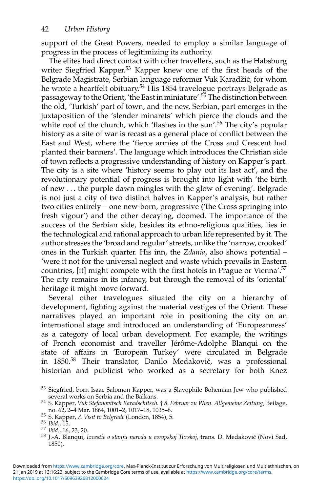support of the Great Powers, needed to employ a similar language of progress in the process of legitimizing its authority.

The elites had direct contact with other travellers, such as the Habsburg writer Siegfried Kapper.<sup>53</sup> Kapper knew one of the first heads of the Belgrade Magistrate, Serbian language reformer Vuk Karadžić, for whom he wrote a heartfelt obituary.<sup>54</sup> His 1854 travelogue portrays Belgrade as passageway to the Orient, 'the East in miniature'.55 The distinction between the old, 'Turkish' part of town, and the new, Serbian, part emerges in the juxtaposition of the 'slender minarets' which pierce the clouds and the white roof of the church, which 'flashes in the sun'.<sup>56</sup> The city's popular history as a site of war is recast as a general place of conflict between the East and West, where the 'fierce armies of the Cross and Crescent had planted their banners'. The language which introduces the Christian side of town reflects a progressive understanding of history on Kapper's part. The city is a site where 'history seems to play out its last act', and the revolutionary potential of progress is brought into light with 'the birth of new ... the purple dawn mingles with the glow of evening'. Belgrade is not just a city of two distinct halves in Kapper's analysis, but rather two cities entirely – one new-born, progressive ('the Cross springing into fresh vigour') and the other decaying, doomed. The importance of the success of the Serbian side, besides its ethno-religious qualities, lies in the technological and rational approach to urban life represented by it. The author stresses the 'broad and regular' streets, unlike the 'narrow, crooked' ones in the Turkish quarter. His inn, the *Zdania*, also shows potential – 'were it not for the universal neglect and waste which prevails in Eastern countries, [it] might compete with the first hotels in Prague or Vienna'.<sup>57</sup> The city remains in its infancy, but through the removal of its 'oriental' heritage it might move forward.

Several other travelogues situated the city on a hierarchy of development, fighting against the material vestiges of the Orient. These narratives played an important role in positioning the city on an international stage and introduced an understanding of 'Europeanness' as a category of local urban development. For example, the writings of French economist and traveller Jérôme-Adolphe Blanqui on the state of affairs in 'European Turkey' were circulated in Belgrade in 1850.<sup>58</sup> Their translator, Danilo Medaković, was a professional historian and publicist who worked as a secretary for both Knez

<https://doi.org/10.1017/S0963926812000624> 21 Jan 2019 at 13:16:23, subject to the Cambridge Core terms of use, available at <https://www.cambridge.org/core/terms>. Downloaded from [https://www.cambridge.org/core.](https://www.cambridge.org/core) Max-Planck-Institut zur Erforschung von Multireligiosen und Multiethnischen, on

<sup>&</sup>lt;sup>53</sup> Siegfried, born Isaac Salomon Kapper, was a Slavophile Bohemian Jew who published several works on Serbia and the Balkans.

several works on Serbia and the Balkans. <sup>54</sup> S. Kapper, *Vuk Stefanovitsch Karadschitsch.* † *8. Februar zu Wien. Allgemeine Zeitung*, Beilage,

<sup>55</sup> S. Kapper, *A Visit to Belgrade* (London, 1854), 5.<br>
56 *Ibid.*, 15.<br>
57 *Ibid.*, 16, 23, 20.<br>
58 *I.*-A. Blanqui, *Izvestie o stanju naroda u evropskoj Turskoj*, trans. D. Medaković (Novi Sad, 1850).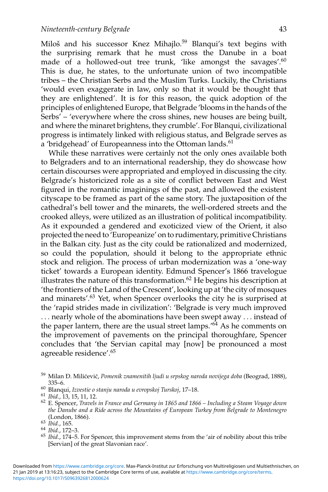Miloš and his successor Knez Mihajlo.<sup>59</sup> Blanqui's text begins with the surprising remark that he must cross the Danube in a boat made of a hollowed-out tree trunk, 'like amongst the savages'.<sup>60</sup> This is due, he states, to the unfortunate union of two incompatible tribes – the Christian Serbs and the Muslim Turks. Luckily, the Christians 'would even exaggerate in law, only so that it would be thought that they are enlightened'. It is for this reason, the quick adoption of the principles of enlightened Europe, that Belgrade 'blooms in the hands of the Serbs' – 'everywhere where the cross shines, new houses are being built, and where the minaret brightens, they crumble'. For Blanqui, civilizational progress is intimately linked with religious status, and Belgrade serves as a 'bridgehead' of Europeanness into the Ottoman lands.<sup>61</sup>

While these narratives were certainly not the only ones available both to Belgraders and to an international readership, they do showcase how certain discourses were appropriated and employed in discussing the city. Belgrade's historicized role as a site of conflict between East and West figured in the romantic imaginings of the past, and allowed the existent cityscape to be framed as part of the same story. The juxtaposition of the cathedral's bell tower and the minarets, the well-ordered streets and the crooked alleys, were utilized as an illustration of political incompatibility. As it expounded a gendered and exoticized view of the Orient, it also projected the need to 'Europeanize' on to rudimentary, primitive Christians in the Balkan city. Just as the city could be rationalized and modernized, so could the population, should it belong to the appropriate ethnic stock and religion. The process of urban modernization was a 'one-way ticket' towards a European identity. Edmund Spencer's 1866 travelogue illustrates the nature of this transformation. $62$  He begins his description at 'the frontiers of the Land of the Crescent', looking up at 'the city of mosques and minarets'.<sup>63</sup> Yet, when Spencer overlooks the city he is surprised at the 'rapid strides made in civilization': 'Belgrade is very much improved ... nearly whole of the abominations have been swept away ... instead of the paper lantern, there are the usual street lamps.<sup> $64$ </sup> As he comments on the improvement of pavements on the principal thoroughfare, Spencer concludes that 'the Servian capital may [now] be pronounced a most agreeable residence'.65

<sup>59</sup> Milan Đ. Milićević, Pomenik znamenitih ljudi u srpskog naroda novijega doba (Beograd, 1888),

<sup>335–6.</sup> <sup>60</sup> Blanqui, *Izvestie o stanju naroda u evropskoj Turskoj*, 17–18. <sup>61</sup> *Ibid.*, 13, 15, 11, 12. <sup>62</sup> E. Spencer, *Travels in France and Germany in 1865 and 1866 – Including a Steam Voyage down the Danube and a Ride across the Mountains of European Turkey from Belgrade to Montenegro* (London, 1866).<br><sup>63</sup> *Ibid.*, 165.

<sup>&</sup>lt;sup>64</sup> *Ibid.*, 172–3.<br><sup>65</sup> *Ibid.*, 174–5. For Spencer, this improvement stems from the 'air of nobility about this tribe [Servian] of the great Slavonian race'.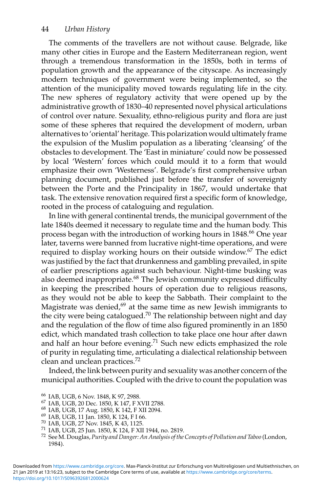The comments of the travellers are not without cause. Belgrade, like many other cities in Europe and the Eastern Mediterranean region, went through a tremendous transformation in the 1850s, both in terms of population growth and the appearance of the cityscape. As increasingly modern techniques of government were being implemented, so the attention of the municipality moved towards regulating life in the city. The new spheres of regulatory activity that were opened up by the administrative growth of 1830–40 represented novel physical articulations of control over nature. Sexuality, ethno-religious purity and flora are just some of these spheres that required the development of modern, urban alternatives to 'oriental' heritage. This polarization would ultimately frame the expulsion of the Muslim population as a liberating 'cleansing' of the obstacles to development. The 'East in miniature' could now be possessed by local 'Western' forces which could mould it to a form that would emphasize their own 'Westerness'. Belgrade's first comprehensive urban planning document, published just before the transfer of sovereignty between the Porte and the Principality in 1867, would undertake that task. The extensive renovation required first a specific form of knowledge, rooted in the process of cataloguing and regulation.

In line with general continental trends, the municipal government of the late 1840s deemed it necessary to regulate time and the human body. This process began with the introduction of working hours in 1848.66 One year later, taverns were banned from lucrative night-time operations, and were required to display working hours on their outside window.67 The edict was justified by the fact that drunkenness and gambling prevailed, in spite of earlier prescriptions against such behaviour. Night-time busking was also deemed inappropriate.68 The Jewish community expressed difficulty in keeping the prescribed hours of operation due to religious reasons, as they would not be able to keep the Sabbath. Their complaint to the Magistrate was denied, $69$  at the same time as new Jewish immigrants to the city were being catalogued.<sup>70</sup> The relationship between night and day and the regulation of the flow of time also figured prominently in an 1850 edict, which mandated trash collection to take place one hour after dawn and half an hour before evening.71 Such new edicts emphasized the role of purity in regulating time, articulating a dialectical relationship between clean and unclean practices.<sup>72</sup>

Indeed, the link between purity and sexuality was another concern of the municipal authorities. Coupled with the drive to count the population was

<sup>&</sup>lt;sup>66</sup> IAB, UGB, 6 Nov. 1848, K 97, 2988.<br>
<sup>67</sup> IAB, UGB, 20 Dec. 1850, K 147, F XVII 2788.<br>
<sup>68</sup> IAB, UGB, 17 Aug. 1850, K 142, F XII 2094.<br>
<sup>69</sup> IAB, UGB, 11 Jan. 1850, K 124, F 1 66.<br>
<sup>70</sup> IAB, UGB, 25 Nov. 1845, K 43, 1 1984).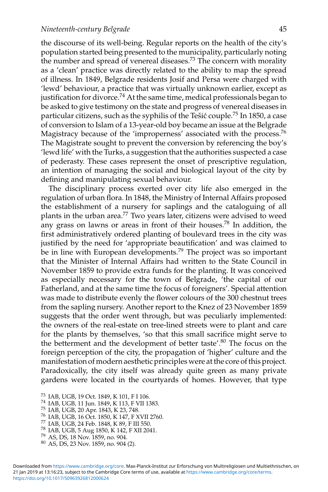the discourse of its well-being. Regular reports on the health of the city's population started being presented to the municipality, particularly noting the number and spread of venereal diseases.<sup>73</sup> The concern with morality as a 'clean' practice was directly related to the ability to map the spread of illness. In 1849, Belgrade residents Josif and Persa were charged with 'lewd' behaviour, a practice that was virtually unknown earlier, except as justification for divorce.<sup>74</sup> At the same time, medical professionals began to be asked to give testimony on the state and progress of venereal diseases in particular citizens, such as the syphilis of the Tešić couple.<sup>75</sup> In 1850, a case of conversion to Islam of a 13-year-old boy became an issue at the Belgrade Magistracy because of the 'improperness' associated with the process.<sup>76</sup> The Magistrate sought to prevent the conversion by referencing the boy's 'lewd life' with the Turks, a suggestion that the authorities suspected a case of pederasty. These cases represent the onset of prescriptive regulation, an intention of managing the social and biological layout of the city by defining and manipulating sexual behaviour.

The disciplinary process exerted over city life also emerged in the regulation of urban flora. In 1848, the Ministry of Internal Affairs proposed the establishment of a nursery for saplings and the cataloguing of all plants in the urban area.77 Two years later, citizens were advised to weed any grass on lawns or areas in front of their houses.<sup>78</sup> In addition, the first administratively ordered planting of boulevard trees in the city was justified by the need for 'appropriate beautification' and was claimed to be in line with European developments.<sup>79</sup> The project was so important that the Minister of Internal Affairs had written to the State Council in November 1859 to provide extra funds for the planting. It was conceived as especially necessary for the town of Belgrade, 'the capital of our Fatherland, and at the same time the focus of foreigners'. Special attention was made to distribute evenly the flower colours of the 300 chestnut trees from the sapling nursery. Another report to the Knez of 23 November 1859 suggests that the order went through, but was peculiarly implemented: the owners of the real-estate on tree-lined streets were to plant and care for the plants by themselves, 'so that this small sacrifice might serve to the betterment and the development of better taste'.<sup>80</sup> The focus on the foreign perception of the city, the propagation of 'higher' culture and the manifestation of modern aesthetic principles were at the core of this project. Paradoxically, the city itself was already quite green as many private gardens were located in the courtyards of homes. However, that type

- <sup>73</sup> IAB, UGB, 19 Oct. 1849, K 101, F I 106.<br><sup>74</sup> IAB, UGB, 11 Jun. 1849, K 113, F VII 1383.<br><sup>75</sup> IAB, UGB, 20 Apr. 1843, K 23, 748.<br><sup>76</sup> IAB, UGB, 16 Oct. 1850, K 147, F XVII 2760.<br><sup>77</sup> IAB, UGB, 5 Aug 1850, K 142, F XII
- 
- 
- 
- 
- 
-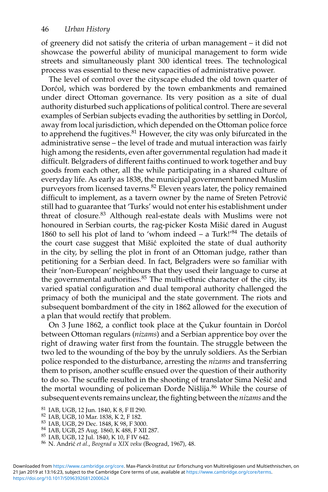of greenery did not satisfy the criteria of urban management – it did not showcase the powerful ability of municipal management to form wide streets and simultaneously plant 300 identical trees. The technological process was essential to these new capacities of administrative power.

The level of control over the cityscape eluded the old town quarter of Dorcol, which was bordered by the town embankments and remained under direct Ottoman governance. Its very position as a site of dual authority disturbed such applications of political control. There are several examples of Serbian subjects evading the authorities by settling in Dorcol, away from local jurisdiction, which depended on the Ottoman police force to apprehend the fugitives.<sup>81</sup> However, the city was only bifurcated in the administrative sense – the level of trade and mutual interaction was fairly high among the residents, even after governmental regulation had made it difficult. Belgraders of different faiths continued to work together and buy goods from each other, all the while participating in a shared culture of everyday life. As early as 1838, the municipal government banned Muslim purveyors from licensed taverns.82 Eleven years later, the policy remained difficult to implement, as a tavern owner by the name of Sreten Petrović still had to guarantee that 'Turks' would not enter his establishment under threat of closure.<sup>83</sup> Although real-estate deals with Muslims were not honoured in Serbian courts, the rag-picker Kosta Mišić dared in August 1860 to sell his plot of land to 'whom indeed – a Turk!'<sup>84</sup> The details of the court case suggest that Mišić exploited the state of dual authority in the city, by selling the plot in front of an Ottoman judge, rather than petitioning for a Serbian deed. In fact, Belgraders were so familiar with their 'non-European' neighbours that they used their language to curse at the governmental authorities. $85$  The multi-ethnic character of the city, its varied spatial configuration and dual temporal authority challenged the primacy of both the municipal and the state government. The riots and subsequent bombardment of the city in 1862 allowed for the execution of a plan that would rectify that problem.

On 3 June 1862, a conflict took place at the Cukur fountain in Dorcol between Ottoman regulars (*nizams*) and a Serbian apprentice boy over the right of drawing water first from the fountain. The struggle between the two led to the wounding of the boy by the unruly soldiers. As the Serbian police responded to the disturbance, arresting the *nizams* and transferring them to prison, another scuffle ensued over the question of their authority to do so. The scuffle resulted in the shooting of translator Sima Nešić and the mortal wounding of policeman Đorđe Nišlija.<sup>86</sup> While the course of subsequent events remains unclear, the fighting between the *nizams* and the

<sup>&</sup>lt;sup>81</sup> IAB, UGB, 12 Jun. 1840, K 8, F II 290.<br><sup>82</sup> IAB, UGB, 10 Mar. 1838, K 2, F 182.<br><sup>83</sup> IAB, UGB, 29 Dec. 1848, K 98, F 3000.<br><sup>84</sup> IAB, UGB, 25 Aug. 1860, K 488, F XII 287.<br><sup>85</sup> IAB, UGB, 12 Jul. 1840, K 10, F IV 642.<br><sup>8</sup>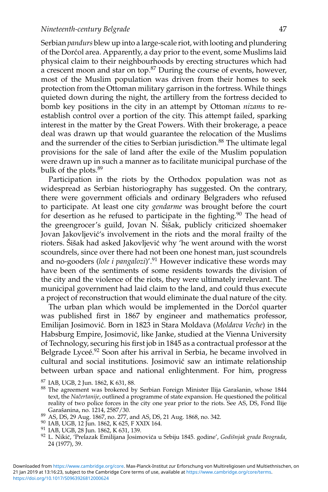Serbian *pandurs* blew up into a large-scale riot, with looting and plundering of the Dorcol area. Apparently, a day prior to the event, some Muslims laid physical claim to their neighbourhoods by erecting structures which had a crescent moon and star on top.<sup>87</sup> During the course of events, however, most of the Muslim population was driven from their homes to seek protection from the Ottoman military garrison in the fortress. While things quieted down during the night, the artillery from the fortress decided to bomb key positions in the city in an attempt by Ottoman *nizams* to reestablish control over a portion of the city. This attempt failed, sparking interest in the matter by the Great Powers. With their brokerage, a peace deal was drawn up that would guarantee the relocation of the Muslims and the surrender of the cities to Serbian jurisdiction.<sup>88</sup> The ultimate legal provisions for the sale of land after the exile of the Muslim population were drawn up in such a manner as to facilitate municipal purchase of the bulk of the plots.<sup>89</sup>

Participation in the riots by the Orthodox population was not as widespread as Serbian historiography has suggested. On the contrary, there were government officials and ordinary Belgraders who refused to participate. At least one city *gendarme* was brought before the court for desertion as he refused to participate in the fighting. $90$  The head of the greengrocer's guild, Jovan N. Šišak, publicly criticized shoemaker Jovan Jakovljević's involvement in the riots and the moral frailty of the rioters. Šišak had asked Jakovljević why 'he went around with the worst scoundrels, since over there had not been one honest man, just scoundrels and no-gooders (*lole i pangalozi*)'.<sup>91</sup> However indicative these words may have been of the sentiments of some residents towards the division of the city and the violence of the riots, they were ultimately irrelevant. The municipal government had laid claim to the land, and could thus execute a project of reconstruction that would eliminate the dual nature of the city.

The urban plan which would be implemented in the Dorcol quarter was published first in 1867 by engineer and mathematics professor, Emilijan Josimovic. Born in 1823 in Stara Moldava ( ´ *Moldava Veche*) in the Habsburg Empire, Josimović, like Janke, studied at the Vienna University of Technology, securing his first job in 1845 as a contractual professor at the Belgrade Lyceé.<sup>92</sup> Soon after his arrival in Serbia, he became involved in cultural and social institutions. Josimovic saw an intimate relationship ´ between urban space and national enlightenment. For him, progress

- 
- 
- 
- 24 (1977), 39.

<https://doi.org/10.1017/S0963926812000624> 21 Jan 2019 at 13:16:23, subject to the Cambridge Core terms of use, available at <https://www.cambridge.org/core/terms>. Downloaded from [https://www.cambridge.org/core.](https://www.cambridge.org/core) Max-Planck-Institut zur Erforschung von Multireligiosen und Multiethnischen, on

<sup>&</sup>lt;sup>87</sup> IAB, UGB, 2 Jun. 1862, K 631, 88.<br><sup>88</sup> The agreement was brokered by Serbian Foreign Minister Ilija Garašanin, whose 1844 text, the *Načertanije*, outlined a programme of state expansion. He questioned the political reality of two police forces in the city one year prior to the riots. See AS, DS, Fond Ilije Garašanina, no. 1214, 2587/30.<br>
<sup>89</sup> AS, DS, 29 Aug. 1867, no. 277, and AS, DS, 21 Aug. 1868, no. 342.<br>
<sup>90</sup> IAB, UGB, 12 Jun. 1862, K 625, F XXIX 164.<br>
<sup>91</sup> IAB, UGB, 28 Jun. 1862, K 631, 139.<br>
<sup>92</sup> L. Nikić, 'Prelazak Em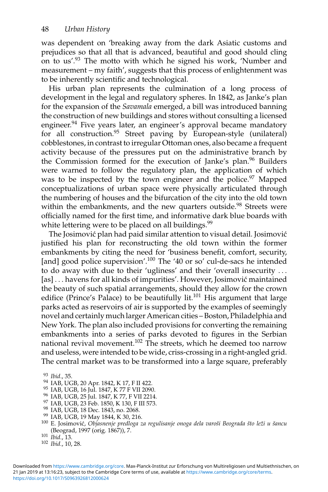was dependent on 'breaking away from the dark Asiatic customs and prejudices so that all that is advanced, beautiful and good should cling on to us'.93 The motto with which he signed his work, 'Number and measurement – my faith', suggests that this process of enlightenment was to be inherently scientific and technological.

His urban plan represents the culmination of a long process of development in the legal and regulatory spheres. In 1842, as Janke's plan for the expansion of the *Savamala* emerged, a bill was introduced banning the construction of new buildings and stores without consulting a licensed engineer.<sup>94</sup> Five years later, an engineer's approval became mandatory for all construction.<sup>95</sup> Street paving by European-style (unilateral) cobblestones, in contrast to irregular Ottoman ones, also became a frequent activity because of the pressures put on the administrative branch by the Commission formed for the execution of Janke's plan.<sup>96</sup> Builders were warned to follow the regulatory plan, the application of which was to be inspected by the town engineer and the police.<sup>97</sup> Mapped conceptualizations of urban space were physically articulated through the numbering of houses and the bifurcation of the city into the old town within the embankments, and the new quarters outside.<sup>98</sup> Streets were officially named for the first time, and informative dark blue boards with white lettering were to be placed on all buildings.<sup>99</sup>

The Josimović plan had paid similar attention to visual detail. Josimović justified his plan for reconstructing the old town within the former embankments by citing the need for 'business benefit, comfort, security, [and] good police supervision'.<sup>100</sup> The '40 or so' cul-de-sacs he intended to do away with due to their 'ugliness' and their 'overall insecurity ... [as] ... havens for all kinds of impurities'. However, Josimović maintained the beauty of such spatial arrangements, should they allow for the crown edifice (Prince's Palace) to be beautifully lit.<sup>101</sup> His argument that large parks acted as reservoirs of air is supported by the examples of seemingly novel and certainly much larger American cities – Boston, Philadelphia and New York. The plan also included provisions for converting the remaining embankments into a series of parks devoted to figures in the Serbian national revival movement.<sup>102</sup> The streets, which he deemed too narrow and useless, were intended to be wide, criss-crossing in a right-angled grid. The central market was to be transformed into a large square, preferably

<sup>&</sup>lt;sup>93</sup> Ibid., 35.<br><sup>94</sup> IAB, UGB, 20 Apr. 1842, K 17, F II 422.<br><sup>95</sup> IAB, UGB, 16 Jul. 1847, K 77 F VII 2090.<br><sup>97</sup> IAB, UGB, 25 Jul. 1847, K 77, F VII 2214.<br><sup>97</sup> IAB, UGB, 25 Feb. 1850, K 130, F II 573.<br><sup>99</sup> IAB, UGB, 19 Dec (Beograd, 1997 (orig. 1867)), 7. <sup>101</sup> *Ibid.*, 13. <sup>102</sup> *Ibid.*, 10, 28.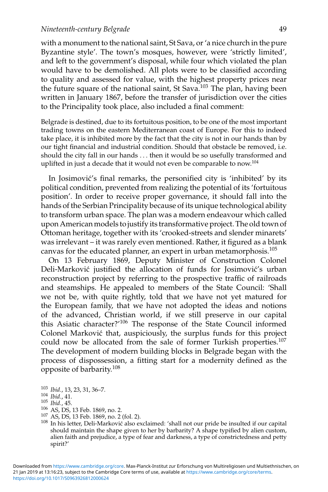with a monument to the national saint, St Sava, or 'a nice church in the pure Byzantine style'. The town's mosques, however, were 'strictly limited', and left to the government's disposal, while four which violated the plan would have to be demolished. All plots were to be classified according to quality and assessed for value, with the highest property prices near the future square of the national saint, St Sava.<sup>103</sup> The plan, having been written in January 1867, before the transfer of jurisdiction over the cities to the Principality took place, also included a final comment:

Belgrade is destined, due to its fortuitous position, to be one of the most important trading towns on the eastern Mediterranean coast of Europe. For this to indeed take place, it is inhibited more by the fact that the city is not in our hands than by our tight financial and industrial condition. Should that obstacle be removed, i.e. should the city fall in our hands ... then it would be so usefully transformed and uplifted in just a decade that it would not even be comparable to now.104

In Josimović's final remarks, the personified city is 'inhibited' by its political condition, prevented from realizing the potential of its 'fortuitous position'. In order to receive proper governance, it should fall into the hands of the Serbian Principality because of its unique technological ability to transform urban space. The plan was a modern endeavour which called upon American models to justify its transformative project. The old town of Ottoman heritage, together with its 'crooked-streets and slender minarets' was irrelevant – it was rarely even mentioned. Rather, it figured as a blank canvas for the educated planner, an expert in urban metamorphosis.105

On 13 February 1869, Deputy Minister of Construction Colonel Deli-Marković justified the allocation of funds for Josimović's urban reconstruction project by referring to the prospective traffic of railroads and steamships. He appealed to members of the State Council: 'Shall we not be, with quite rightly, told that we have not yet matured for the European family, that we have not adopted the ideas and notions of the advanced, Christian world, if we still preserve in our capital this Asiatic character?'106 The response of the State Council informed Colonel Marković that, auspiciously, the surplus funds for this project could now be allocated from the sale of former Turkish properties.<sup>107</sup> The development of modern building blocks in Belgrade began with the process of dispossession, a fitting start for a modernity defined as the opposite of barbarity.108

- 
- 

<https://doi.org/10.1017/S0963926812000624> 21 Jan 2019 at 13:16:23, subject to the Cambridge Core terms of use, available at <https://www.cambridge.org/core/terms>. Downloaded from [https://www.cambridge.org/core.](https://www.cambridge.org/core) Max-Planck-Institut zur Erforschung von Multireligiosen und Multiethnischen, on

<sup>&</sup>lt;sup>103</sup> Ibid., 13, 23, 31, 36–7.<br>
<sup>104</sup> Ibid., 41.<br>
<sup>105</sup> Ibid., 45.<br>
<sup>106</sup> AS, DS, 13 Feb. 1869, no. 2.<br>
<sup>107</sup> AS, DS, 13 Feb. 1869, no. 2 (fol. 2).<br>
<sup>107</sup> AS, DS, 13 Feb. 1869, no. 2 (fol. 2).<br>
<sup>108</sup> In his letter, Deli-M should maintain the shape given to her by barbarity? A shape typified by alien custom, alien faith and prejudice, a type of fear and darkness, a type of constrictedness and petty spirit?'